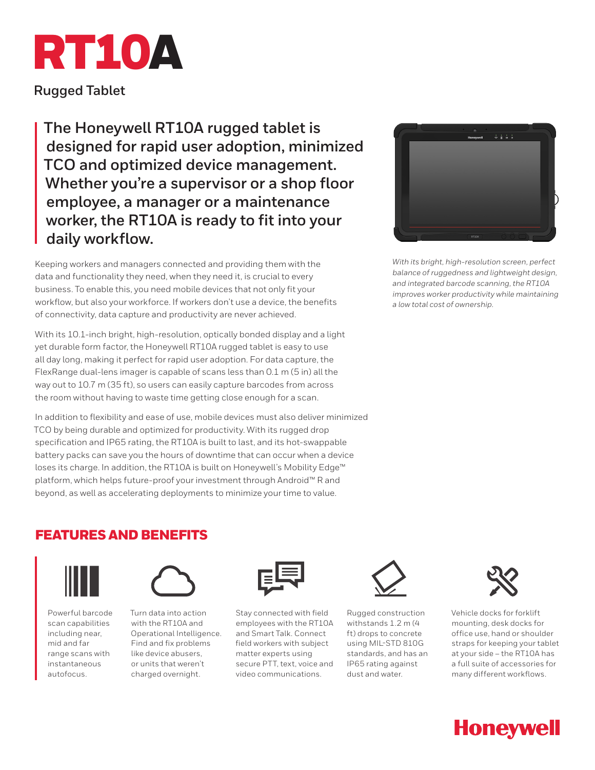

**Rugged Tablet**

**The Honeywell RT10A rugged tablet is designed for rapid user adoption, minimized TCO and optimized device management. Whether you're a supervisor or a shop floor employee, a manager or a maintenance worker, the RT10A is ready to fit into your daily workflow.**

Keeping workers and managers connected and providing them with the data and functionality they need, when they need it, is crucial to every business. To enable this, you need mobile devices that not only fit your workflow, but also your workforce. If workers don't use a device, the benefits of connectivity, data capture and productivity are never achieved.

With its 10.1-inch bright, high-resolution, optically bonded display and a light yet durable form factor, the Honeywell RT10A rugged tablet is easy to use all day long, making it perfect for rapid user adoption. For data capture, the FlexRange dual-lens imager is capable of scans less than 0.1 m (5 in) all the way out to 10.7 m (35 ft), so users can easily capture barcodes from across the room without having to waste time getting close enough for a scan.

In addition to flexibility and ease of use, mobile devices must also deliver minimized TCO by being durable and optimized for productivity. With its rugged drop specification and IP65 rating, the RT10A is built to last, and its hot-swappable battery packs can save you the hours of downtime that can occur when a device loses its charge. In addition, the RT10A is built on Honeywell's Mobility Edge™ platform, which helps future-proof your investment through Android™ R and beyond, as well as accelerating deployments to minimize your time to value.



*With its bright, high-resolution screen, perfect balance of ruggedness and lightweight design, and integrated barcode scanning, the RT10A improves worker productivity while maintaining a low total cost of ownership.*

## FEATURES AND BENEFITS



Powerful barcode scan capabilities including near, mid and far range scans with instantaneous autofocus.



Turn data into action with the RT10A and Operational Intelligence. Find and fix problems like device abusers, or units that weren't charged overnight.



Stay connected with field employees with the RT10A and Smart Talk. Connect field workers with subject matter experts using secure PTT, text, voice and video communications.



Rugged construction withstands 1.2 m (4 ft) drops to concrete using MIL-STD 810G standards, and has an IP65 rating against dust and water.



Vehicle docks for forklift mounting, desk docks for office use, hand or shoulder straps for keeping your tablet at your side – the RT10A has a full suite of accessories for many different workflows.